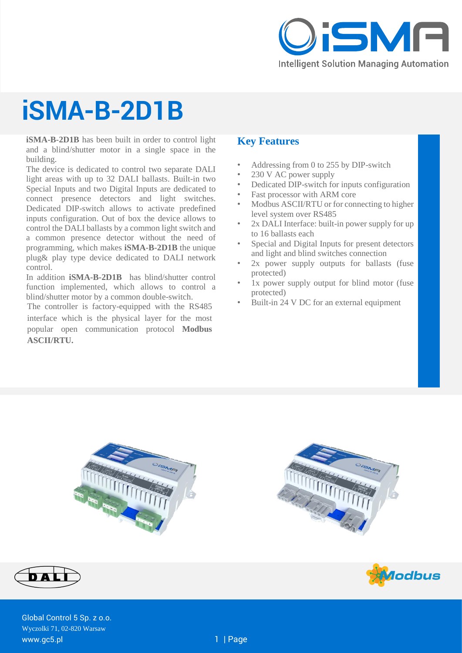

# **iSMA-B-2D1B**

**iSMA-B-2D1B** has been built in order to control light and a blind/shutter motor in a single space in the building.

The device is dedicated to control two separate DALI light areas with up to 32 DALI ballasts. Built-in two Special Inputs and two Digital Inputs are dedicated to connect presence detectors and light switches. Dedicated DIP-switch allows to activate predefined inputs configuration. Out of box the device allows to control the DALI ballasts by a common light switch and a common presence detector without the need of programming, which makes **iSMA-B-2D1B** the unique plug& play type device dedicated to DALI network control.

In addition **iSMA-B-2D1B** has blind/shutter control function implemented, which allows to control a blind/shutter motor by a common double-switch.

The controller is factory-equipped with the RS485 interface which is the physical layer for the most popular open communication protocol **Modbus ASCII/RTU.**

## **Key Features**

- Addressing from 0 to 255 by DIP-switch
- 230 V AC power supply
- Dedicated DIP-switch for inputs configuration
- Fast processor with ARM core
- Modbus ASCII/RTU or for connecting to higher level system over RS485
- 2x DALI Interface: built-in power supply for up to 16 ballasts each
- Special and Digital Inputs for present detectors and light and blind switches connection
- 2x power supply outputs for ballasts (fuse protected)
- 1x power supply output for blind motor (fuse) protected)
- Built-in 24 V DC for an external equipment









DAL